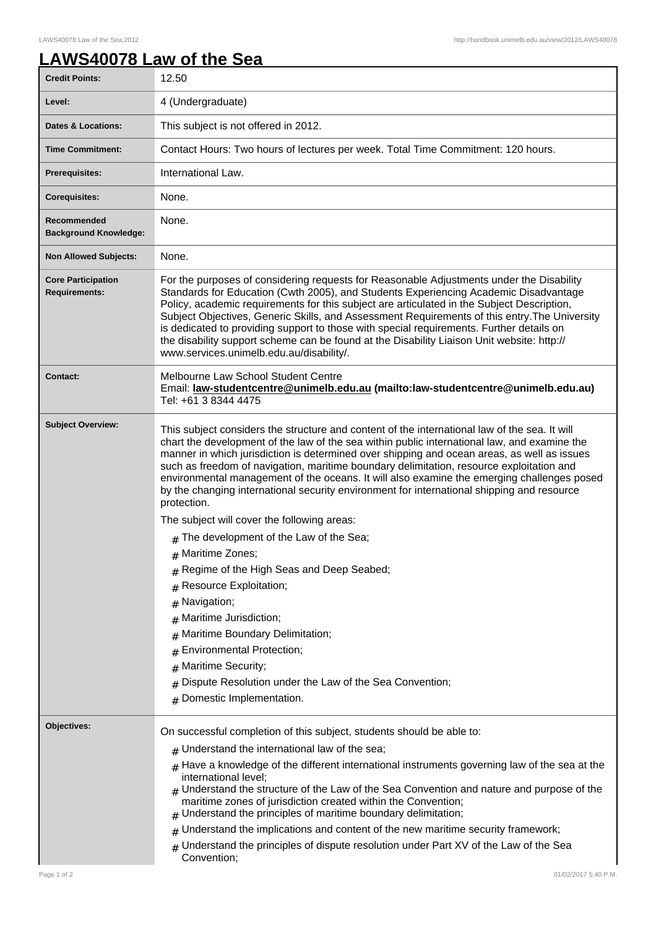## **LAWS40078 Law of the Sea**

| <b>Credit Points:</b>                             | 12.50                                                                                                                                                                                                                                                                                                                                                                                                                                                                                                                                                                                                                                                                                                                                                                                                                                                                                                                                                                                                                                                     |
|---------------------------------------------------|-----------------------------------------------------------------------------------------------------------------------------------------------------------------------------------------------------------------------------------------------------------------------------------------------------------------------------------------------------------------------------------------------------------------------------------------------------------------------------------------------------------------------------------------------------------------------------------------------------------------------------------------------------------------------------------------------------------------------------------------------------------------------------------------------------------------------------------------------------------------------------------------------------------------------------------------------------------------------------------------------------------------------------------------------------------|
| Level:                                            | 4 (Undergraduate)                                                                                                                                                                                                                                                                                                                                                                                                                                                                                                                                                                                                                                                                                                                                                                                                                                                                                                                                                                                                                                         |
| <b>Dates &amp; Locations:</b>                     | This subject is not offered in 2012.                                                                                                                                                                                                                                                                                                                                                                                                                                                                                                                                                                                                                                                                                                                                                                                                                                                                                                                                                                                                                      |
| <b>Time Commitment:</b>                           | Contact Hours: Two hours of lectures per week. Total Time Commitment: 120 hours.                                                                                                                                                                                                                                                                                                                                                                                                                                                                                                                                                                                                                                                                                                                                                                                                                                                                                                                                                                          |
| Prerequisites:                                    | International Law.                                                                                                                                                                                                                                                                                                                                                                                                                                                                                                                                                                                                                                                                                                                                                                                                                                                                                                                                                                                                                                        |
| <b>Corequisites:</b>                              | None.                                                                                                                                                                                                                                                                                                                                                                                                                                                                                                                                                                                                                                                                                                                                                                                                                                                                                                                                                                                                                                                     |
| Recommended<br><b>Background Knowledge:</b>       | None.                                                                                                                                                                                                                                                                                                                                                                                                                                                                                                                                                                                                                                                                                                                                                                                                                                                                                                                                                                                                                                                     |
| <b>Non Allowed Subjects:</b>                      | None.                                                                                                                                                                                                                                                                                                                                                                                                                                                                                                                                                                                                                                                                                                                                                                                                                                                                                                                                                                                                                                                     |
| <b>Core Participation</b><br><b>Requirements:</b> | For the purposes of considering requests for Reasonable Adjustments under the Disability<br>Standards for Education (Cwth 2005), and Students Experiencing Academic Disadvantage<br>Policy, academic requirements for this subject are articulated in the Subject Description,<br>Subject Objectives, Generic Skills, and Assessment Requirements of this entry. The University<br>is dedicated to providing support to those with special requirements. Further details on<br>the disability support scheme can be found at the Disability Liaison Unit website: http://<br>www.services.unimelb.edu.au/disability/.                                                                                                                                                                                                                                                                                                                                                                                                                                     |
| <b>Contact:</b>                                   | Melbourne Law School Student Centre<br>Email: law-studentcentre@unimelb.edu.au (mailto:law-studentcentre@unimelb.edu.au)<br>Tel: +61 3 8344 4475                                                                                                                                                                                                                                                                                                                                                                                                                                                                                                                                                                                                                                                                                                                                                                                                                                                                                                          |
| <b>Subject Overview:</b>                          | This subject considers the structure and content of the international law of the sea. It will<br>chart the development of the law of the sea within public international law, and examine the<br>manner in which jurisdiction is determined over shipping and ocean areas, as well as issues<br>such as freedom of navigation, maritime boundary delimitation, resource exploitation and<br>environmental management of the oceans. It will also examine the emerging challenges posed<br>by the changing international security environment for international shipping and resource<br>protection.<br>The subject will cover the following areas:<br>$#$ The development of the Law of the Sea;<br># Maritime Zones;<br>Regime of the High Seas and Deep Seabed;<br>Resource Exploitation;<br>#<br>Navigation;<br>#<br>Maritime Jurisdiction;<br>#<br>Maritime Boundary Delimitation;<br>#<br>Environmental Protection;<br>#<br>Maritime Security;<br>#<br>Dispute Resolution under the Law of the Sea Convention;<br>#<br>Domestic Implementation.<br># |
| Objectives:                                       | On successful completion of this subject, students should be able to:<br>$#$ Understand the international law of the sea;<br>$_{\#}$ Have a knowledge of the different international instruments governing law of the sea at the<br>international level;<br>$_{\#}$ Understand the structure of the Law of the Sea Convention and nature and purpose of the<br>maritime zones of jurisdiction created within the Convention;<br>$#$ Understand the principles of maritime boundary delimitation;<br>Understand the implications and content of the new maritime security framework;<br>#<br>$_{\#}$ Understand the principles of dispute resolution under Part XV of the Law of the Sea<br>Convention;                                                                                                                                                                                                                                                                                                                                                    |